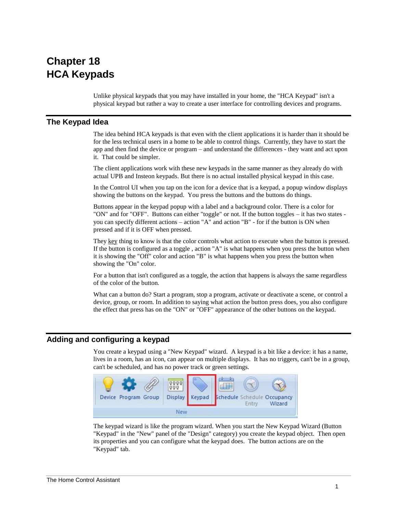# **Chapter 18 HCA Keypads**

Unlike physical keypads that you may have installed in your home, the "HCA Keypad" isn't a physical keypad but rather a way to create a user interface for controlling devices and programs.

## **The Keypad Idea**

The idea behind HCA keypads is that even with the client applications it is harder than it should be for the less technical users in a home to be able to control things. Currently, they have to start the app and then find the device or program – and understand the differences - they want and act upon it. That could be simpler.

The client applications work with these new keypads in the same manner as they already do with actual UPB and Insteon keypads. But there is no actual installed physical keypad in this case.

In the Control UI when you tap on the icon for a device that is a keypad, a popup window displays showing the buttons on the keypad. You press the buttons and the buttons do things.

Buttons appear in the keypad popup with a label and a background color. There is a color for "ON" and for "OFF". Buttons can either "toggle" or not. If the button toggles – it has two states you can specify different actions – action "A" and action "B" - for if the button is ON when pressed and if it is OFF when pressed.

They key thing to know is that the color controls what action to execute when the button is pressed. If the button is configured as a toggle , action "A" is what happens when you press the button when it is showing the "Off" color and action "B" is what happens when you press the button when showing the "On" color.

For a button that isn't configured as a toggle, the action that happens is always the same regardless of the color of the button.

What can a button do? Start a program, stop a program, activate or deactivate a scene, or control a device, group, or room. In addition to saying what action the button press does, you also configure the effect that press has on the "ON" or "OFF" appearance of the other buttons on the keypad.

## **Adding and configuring a keypad**

You create a keypad using a "New Keypad" wizard. A keypad is a bit like a device: it has a name, lives in a room, has an icon, can appear on multiple displays. It has no triggers, can't be in a group, can't be scheduled, and has no power track or green settings.



The keypad wizard is like the program wizard. When you start the New Keypad Wizard (Button "Keypad" in the "New" panel of the "Design" category) you create the keypad object. Then open its properties and you can configure what the keypad does. The button actions are on the "Keypad" tab.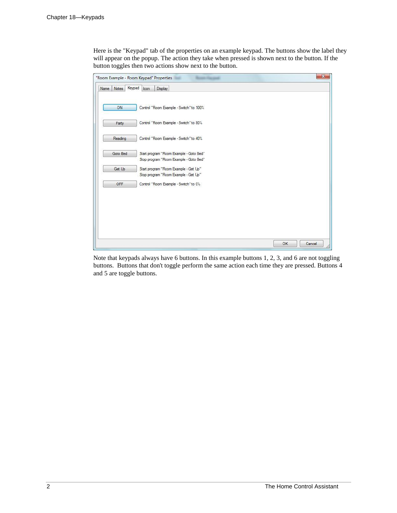Here is the "Keypad" tab of the properties on an example keypad. The buttons show the label they will appear on the popup. The action they take when pressed is shown next to the button. If the button toggles then two actions show next to the button.

| "Room Example - Room Keypad" Properties |                                                                                   | $\mathbf{x}$ |
|-----------------------------------------|-----------------------------------------------------------------------------------|--------------|
| Keypad<br>Notes<br>Name                 | Display<br>Icon                                                                   |              |
| ON                                      | Control "Room Example - Switch" to 100%                                           |              |
| Party                                   | Control "Room Example - Switch" to 80%                                            |              |
| Reading                                 | Control "Room Example - Switch" to 40%                                            |              |
| Goto Bed                                | Start program "Room Example - Goto Bed"<br>Stop program "Room Example - Goto Bed" |              |
| Get Up                                  | Start program "Room Example - Get Up"<br>Stop program "Room Example - Get Up"     |              |
| OFF                                     | Control "Room Example - Switch" to 0%                                             |              |
|                                         |                                                                                   |              |
|                                         |                                                                                   |              |
|                                         |                                                                                   |              |
|                                         | OK                                                                                | Cancel       |

Note that keypads always have 6 buttons. In this example buttons 1, 2, 3, and 6 are not toggling buttons. Buttons that don't toggle perform the same action each time they are pressed. Buttons 4 and 5 are toggle buttons.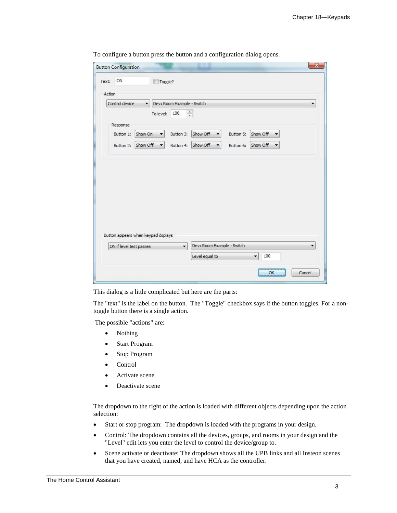|                         |                                      | Toggle?                    |                            |           |          |   |
|-------------------------|--------------------------------------|----------------------------|----------------------------|-----------|----------|---|
| Action                  |                                      |                            |                            |           |          |   |
| Control device          | $\blacktriangledown$                 | Dev: Room Example - Switch |                            |           |          | ▼ |
|                         | To level:                            | 100                        | $\frac{\star}{\star}$      |           |          |   |
| Response                |                                      |                            |                            |           |          |   |
| Button 1:               | Show On<br>۰                         | Button 3:                  | Show Off<br>▼              | Button 5: | Show Off |   |
| Button 2:               | Show Off<br>$\overline{\phantom{a}}$ | Button 4:                  | Show Off                   | Button 6: | Show Off |   |
|                         |                                      |                            | ▼                          |           |          |   |
|                         |                                      |                            |                            |           |          |   |
|                         | Button appears when keypad dsplays   |                            |                            |           |          |   |
| ON if level test passes |                                      | $\overline{\phantom{a}}$   | Dev: Room Example - Switch |           |          | ▼ |

To configure a button press the button and a configuration dialog opens.

This dialog is a little complicated but here are the parts:

The "text" is the label on the button. The "Toggle" checkbox says if the button toggles. For a nontoggle button there is a single action.

The possible "actions" are:

- Nothing
- Start Program
- Stop Program
- Control
- Activate scene
- Deactivate scene

The dropdown to the right of the action is loaded with different objects depending upon the action selection:

- Start or stop program: The dropdown is loaded with the programs in your design.
- Control: The dropdown contains all the devices, groups, and rooms in your design and the "Level" edit lets you enter the level to control the device/group to.
- Scene activate or deactivate: The dropdown shows all the UPB links and all Insteon scenes that you have created, named, and have HCA as the controller.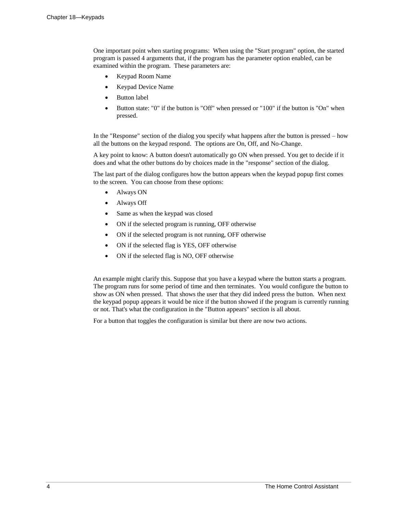One important point when starting programs: When using the "Start program" option, the started program is passed 4 arguments that, if the program has the parameter option enabled, can be examined within the program. These parameters are:

- Keypad Room Name
- Keypad Device Name
- Button label
- Button state: "0" if the button is "Off" when pressed or "100" if the button is "On" when pressed.

In the "Response" section of the dialog you specify what happens after the button is pressed – how all the buttons on the keypad respond. The options are On, Off, and No-Change.

A key point to know: A button doesn't automatically go ON when pressed. You get to decide if it does and what the other buttons do by choices made in the "response" section of the dialog.

The last part of the dialog configures how the button appears when the keypad popup first comes to the screen. You can choose from these options:

- Always ON
- Always Off
- Same as when the keypad was closed
- ON if the selected program is running, OFF otherwise
- ON if the selected program is not running, OFF otherwise
- ON if the selected flag is YES, OFF otherwise
- ON if the selected flag is NO, OFF otherwise

An example might clarify this. Suppose that you have a keypad where the button starts a program. The program runs for some period of time and then terminates. You would configure the button to show as ON when pressed. That shows the user that they did indeed press the button. When next the keypad popup appears it would be nice if the button showed if the program is currently running or not. That's what the configuration in the "Button appears" section is all about.

For a button that toggles the configuration is similar but there are now two actions.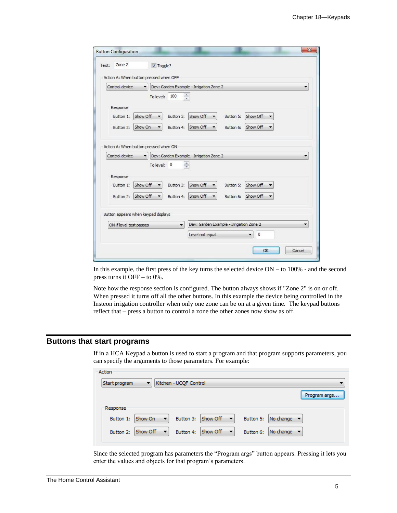| Text: | Zone 2                                 | V Toggle?   |                          |                                         |           |          |        |
|-------|----------------------------------------|-------------|--------------------------|-----------------------------------------|-----------|----------|--------|
|       | Action A: When button pressed when OFF |             |                          |                                         |           |          |        |
|       | Control device                         |             |                          | Dev: Garden Example - Irrigation Zone 2 |           |          |        |
|       |                                        | To level:   | 100                      | $\frac{\star}{\star}$                   |           |          |        |
|       | Response                               |             |                          |                                         |           |          |        |
|       | Show Off<br>Button 1:                  |             | Button 3:                | Show Off<br>▼                           | Button 5: | Show Off |        |
|       | Show On<br>Button 2:                   |             | Button 4:                | Show Off                                | Button 6: | Show Off |        |
|       |                                        |             |                          |                                         |           |          |        |
|       | Action A: When button pressed when ON  |             |                          |                                         |           |          |        |
|       | Control device                         |             |                          | Dev: Garden Example - Irrigation Zone 2 |           |          |        |
|       |                                        | To level: 0 |                          | $\frac{\mathbf{A}}{\mathbf{v}}$         |           |          |        |
|       |                                        |             |                          |                                         |           |          |        |
|       | Response                               |             |                          |                                         |           |          |        |
|       | Show Off<br>Button 1:                  |             | Button 3:                | Show Off                                | Button 5: | Show Off |        |
|       | Show Off<br>Button 2:                  |             | Button 4:                | Show Off                                | Button 6: | Show Off |        |
|       |                                        |             |                          |                                         |           |          |        |
|       | Button appears when keypad dsplays     |             |                          |                                         |           |          |        |
|       | ON if level test passes                |             | $\overline{\phantom{a}}$ | Dev: Garden Example - Irrigation Zone 2 |           |          |        |
|       |                                        |             |                          | Level not equal                         |           | 0        |        |
|       |                                        |             |                          |                                         |           | OK       | Cancel |

In this example, the first press of the key turns the selected device ON – to 100% - and the second press turns it OFF – to 0%.

Note how the response section is configured. The button always shows if "Zone 2" is on or off. When pressed it turns off all the other buttons. In this example the device being controlled in the Insteon irrigation controller when only one zone can be on at a given time. The keypad buttons reflect that – press a button to control a zone the other zones now show as off.

## **Buttons that start programs**

 $\mathbf{A}$  and  $\mathbf{A}$ 

If in a HCA Keypad a button is used to start a program and that program supports parameters, you can specify the arguments to those parameters. For example:

| ACUON         |               |                        |                                      |           |                                |
|---------------|---------------|------------------------|--------------------------------------|-----------|--------------------------------|
| Start program | ▼             | Kitchen - UCQF Control |                                      |           |                                |
|               |               |                        |                                      |           | Program args                   |
| Response      |               |                        |                                      |           |                                |
| Button 1:     | Show On<br>▼  | Button 3:              | Show Off $\mathbf{v}$                | Button 5: | No change $\blacktriangledown$ |
| Button 2:     | Show Off<br>▼ | Button 4:              | Show Off<br>$\overline{\phantom{a}}$ | Button 6: | No change $\blacktriangledown$ |

Since the selected program has parameters the "Program args" button appears. Pressing it lets you enter the values and objects for that program's parameters.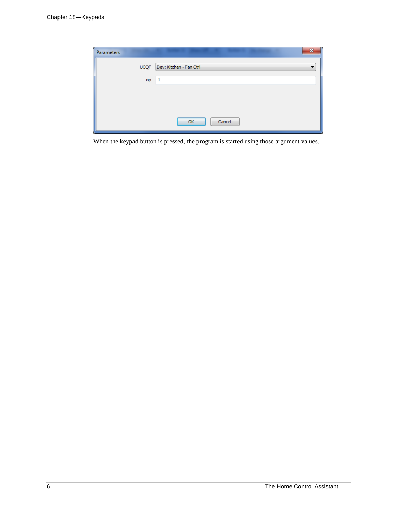| Parameters  | x                       |
|-------------|-------------------------|
| <b>UCQF</b> | Dev: Kitchen - Fan Ctrl |
| op          | 1                       |
|             |                         |
|             |                         |
|             |                         |
|             | Cancel<br>OK            |
|             |                         |

When the keypad button is pressed, the program is started using those argument values.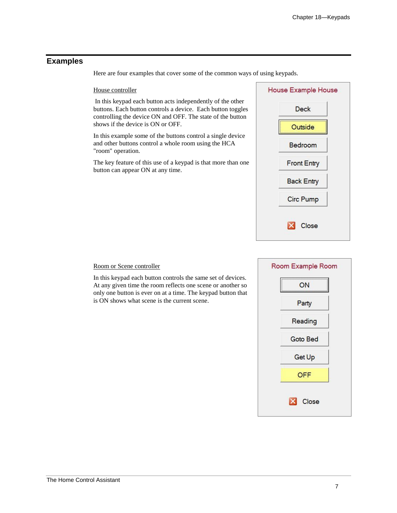# **Examples**

Here are four examples that cover some of the common ways of using keypads.

#### House controller

In this keypad each button acts independently of the other buttons. Each button controls a device. Each button toggles controlling the device ON and OFF. The state of the button shows if the device is ON or OFF.

In this example some of the buttons control a single device and other buttons control a whole room using the HCA "room" operation.

The key feature of this use of a keypad is that more than one button can appear ON at any time.



# Room or Scene controller

In this keypad each button controls the same set of devices. At any given time the room reflects one scene or another so only one button is ever on at a time. The keypad button that is ON shows what scene is the current scene.